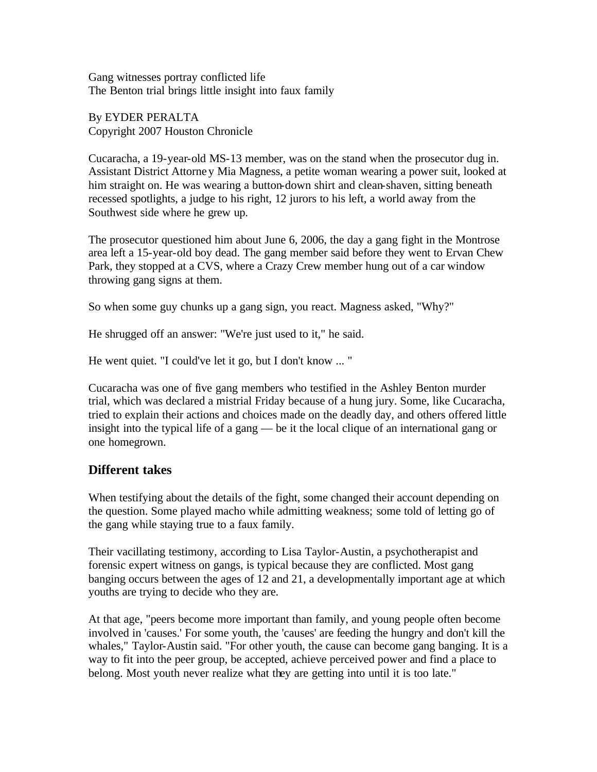Gang witnesses portray conflicted life The Benton trial brings little insight into faux family

By EYDER PERALTA Copyright 2007 Houston Chronicle

Cucaracha, a 19-year-old MS-13 member, was on the stand when the prosecutor dug in. Assistant District Attorney Mia Magness, a petite woman wearing a power suit, looked at him straight on. He was wearing a button-down shirt and clean-shaven, sitting beneath recessed spotlights, a judge to his right, 12 jurors to his left, a world away from the Southwest side where he grew up.

The prosecutor questioned him about June 6, 2006, the day a gang fight in the Montrose area left a 15-year-old boy dead. The gang member said before they went to Ervan Chew Park, they stopped at a CVS, where a Crazy Crew member hung out of a car window throwing gang signs at them.

So when some guy chunks up a gang sign, you react. Magness asked, "Why?"

He shrugged off an answer: "We're just used to it," he said.

He went quiet. "I could've let it go, but I don't know ... "

Cucaracha was one of five gang members who testified in the Ashley Benton murder trial, which was declared a mistrial Friday because of a hung jury. Some, like Cucaracha, tried to explain their actions and choices made on the deadly day, and others offered little insight into the typical life of a gang — be it the local clique of an international gang or one homegrown.

## **Different takes**

When testifying about the details of the fight, some changed their account depending on the question. Some played macho while admitting weakness; some told of letting go of the gang while staying true to a faux family.

Their vacillating testimony, according to Lisa Taylor-Austin, a psychotherapist and forensic expert witness on gangs, is typical because they are conflicted. Most gang banging occurs between the ages of 12 and 21, a developmentally important age at which youths are trying to decide who they are.

At that age, "peers become more important than family, and young people often become involved in 'causes.' For some youth, the 'causes' are feeding the hungry and don't kill the whales," Taylor-Austin said. "For other youth, the cause can become gang banging. It is a way to fit into the peer group, be accepted, achieve perceived power and find a place to belong. Most youth never realize what they are getting into until it is too late."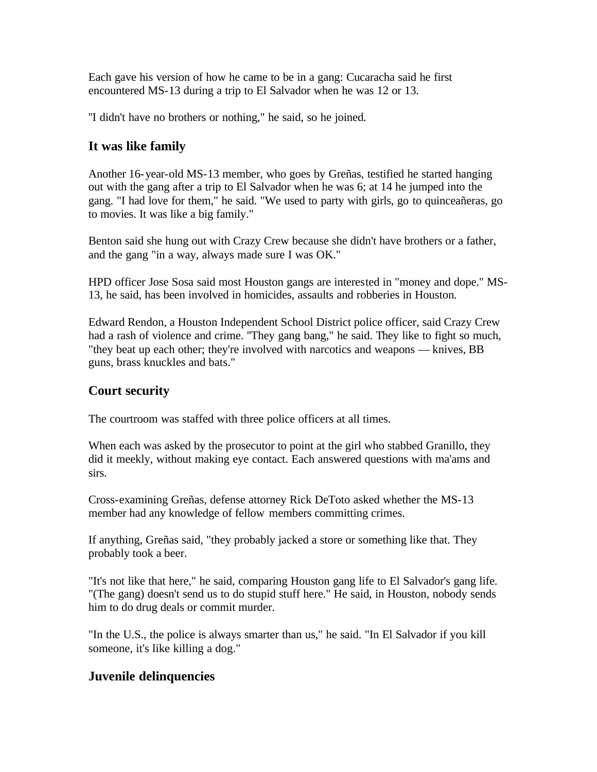Each gave his version of how he came to be in a gang: Cucaracha said he first encountered MS-13 during a trip to El Salvador when he was 12 or 13.

''I didn't have no brothers or nothing," he said, so he joined.

## **It was like family**

Another 16-year-old MS-13 member, who goes by Greñas, testified he started hanging out with the gang after a trip to El Salvador when he was 6; at 14 he jumped into the gang. "I had love for them," he said. "We used to party with girls, go to quinceañeras, go to movies. It was like a big family."

Benton said she hung out with Crazy Crew because she didn't have brothers or a father, and the gang "in a way, always made sure I was OK."

HPD officer Jose Sosa said most Houston gangs are interested in "money and dope." MS-13, he said, has been involved in homicides, assaults and robberies in Houston.

Edward Rendon, a Houston Independent School District police officer, said Crazy Crew had a rash of violence and crime. ''They gang bang," he said. They like to fight so much, "they beat up each other; they're involved with narcotics and weapons — knives, BB guns, brass knuckles and bats."

## **Court security**

The courtroom was staffed with three police officers at all times.

When each was asked by the prosecutor to point at the girl who stabbed Granillo, they did it meekly, without making eye contact. Each answered questions with ma'ams and sirs.

Cross-examining Greñas, defense attorney Rick DeToto asked whether the MS-13 member had any knowledge of fellow members committing crimes.

If anything, Greñas said, "they probably jacked a store or something like that. They probably took a beer.

"It's not like that here," he said, comparing Houston gang life to El Salvador's gang life. "(The gang) doesn't send us to do stupid stuff here." He said, in Houston, nobody sends him to do drug deals or commit murder.

"In the U.S., the police is always smarter than us," he said. "In El Salvador if you kill someone, it's like killing a dog."

## **Juvenile delinquencies**